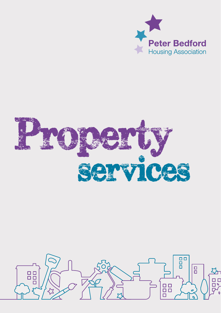



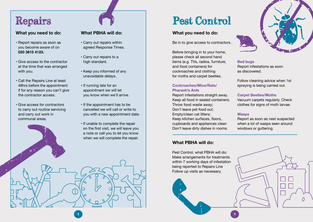- Report repairs as soon as you become aware of on **020 3815 4123.**
- Give access to the contractor at the time that was arranged with you.
- Call the Repairs Line at least 48hrs before the appointment if for any reason you can't give the contractor access.
- Give access for contractors to carry out routine servicing and carry out work in communal areas.

- Carry out repairs within agreed Response Times.
- Carry out repairs to a high standard.
- Keep you informed of any unavoidable delays.
- If running late for an appointment we will let you know when we'll arrive.
- If the appointment has to be cancelled we will call or write to you with a new appointment date.
- If unable to complete the repair on the first visit, we will leave you a note or call you to let you know when we will complete the repair.

## Repairs **Pest Control**

#### **What you need to do: What PBHA will do: What you need to do:**

Be in to give access to contractors.

Before bringing in to your home, please check all second hand items (e.g. TVs, radios, furniture, and food containers) for cockroaches and clothing for moths and carpet beetles.

#### Cockroaches/Mice/Rats/ Pharaoh's Ants

Report infestations straight away. Keep all food in sealed containers; Throw food waste away; Don't leave pet food out; Empty/clean cat litters; Keep kitchen surfaces, floors, cupboards and appliances clean Don't leave dirty dishes in rooms.

## **What PBHA will do:**

Pest Control, what PBHA will do: Make arrangements for treatments within 7 working days of infestation being reported to Repairs Line Follow up visits as necessary.



#### Bed bugs

Report infestations as soon as discovered.

Follow cleaning advice when 1st spraying is being carried out.

#### Carpet Beetles/Moths

Vacuum carpets regularly. Check clothes for signs of moth larvae.

#### **Wasps**

Report as soon as nest suspected when a lot of wasps seen around windows or guttering.

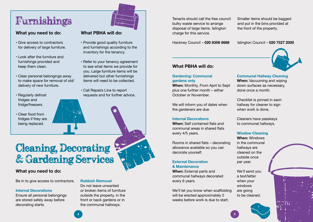## Furnishings

### **What you need to do: What PBHA will do:**

- Give access to contractors for delivery of large furniture.
- Look after the furniture and furnishings provided and keep them clean.
- Clear personal belongings away to make space for removal of old/ delivery of new furniture.
- Regularly defrost fridges and fridge/freezers.
- Clear food from fridges if they are being replaced.

- Provide good quality furniture and furnishings according to the inventory for the tenancy.
- Refer to your tenancy agreement to see what items we provide for you. Large furniture items will be delivered but other furnishings items will need to be collected.
- Call Repairs Line to report requests and for further advice.

## Cleaning, Decorating & Gardening Services

#### **What you need to do:**

Be in to give access to contractors.

#### **Internal Decorations**

Ensure all personal belongings are stored safely away before decorating starts.

#### **Rubbish Removal**

Do not leave unwanted or broken items of furniture outside the property, in the front or back gardens or in the communal hallways.

Tenants should call the free council bulky waste service to arrange disposal of large items. Islington charge for this service.

Hackney Council – **020 8356 6688**

### **What PBHA will do:**

#### **Gardening: Communal gardens only**

**When:** Monthly, From April to Sept plus one further month – either October or November.

We will inform you of dates when the gardeners are due.

#### **Internal Decorations**

When: Self contained flats and communal areas in shared flats every 4/5 years.

Rooms in shared flats – decorating allowance available so you can decorate yourself.

### **External Decoration**

#### **& Maintenance**

When: External parts and communal hallways decorated every 6 years.

We'll let you know when scaffolding will be erected approximately 2 weeks before work is due to start.

Smaller items should be bagged and put in the bins provided at the front of the property.

Islington Council – **020 7527 2000**



#### **Communal Hallway Cleaning**

**When:** Vacuuming and wiping down surfaces as necessary, done once a month.

Checklist is pinned in each hallway for cleaner to sign when work is done.

Cleaners have passkeys to communal hallways.

#### **Window Cleaning**

**When:** Windows in the communal hallways are cleaned on the outside once per year.

We'll send you a text/letter when your windows are going to be cleaned.



 $\overline{4}$   $\overline{5}$   $\overline{5}$   $\overline{5}$   $\overline{5}$   $\overline{5}$   $\overline{5}$   $\overline{5}$   $\overline{5}$   $\overline{5}$   $\overline{5}$   $\overline{5}$   $\overline{5}$   $\overline{5}$   $\overline{5}$   $\overline{5}$   $\overline{5}$   $\overline{5}$   $\overline{5}$   $\overline{5}$   $\overline{5}$   $\overline{5}$   $\overline{5}$   $\overline{5}$   $\overline{$ 

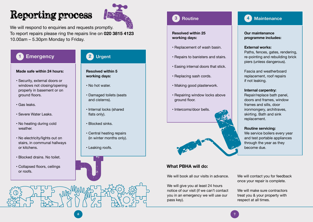# Reporting process



We will respond to enquiries and requests promptly.

To report repairs please ring the repairs line on **020 3815 4123** 10.00am – 5.30pm Monday to Friday.

#### **Emergency 1**

#### **Made safe within 24 hours:**

- Security, external doors or windows not closing/opening properly in basement or on ground floors.
- Gas leaks.
- Severe Water Leaks.
- No heating during cold weather.
- No electricity/lights out on stairs, in communal hallways or kitchens.
- Blocked drains. No toilet.
- Collapsed floors, ceilings or roofs.

#### **Urgent 2**

#### **Resolved within 5 working days:**

- No hot water.
- Damaged toilets (seats and cisterns).
- Internal locks (shared flats only).
- Blocked sinks.
- Central heating repairs (in winter months only).
- Leaking roofs.



#### **Resolved within 25 working days:**

- Replacement of wash basin.
- Repairs to banisters and stairs.
- Easing internal doors that stick.
- Replacing sash cords.
- Making good plasterwork.
- Repairing window locks above ground floor.
- Intercoms/door bells.



### **What PBHA will do:**

We will book all our visits in advance.

We will give you at least 24 hours notice of our visit (if we can't contact you in an emergency we will use our pass key).



**Our maintenance programme includes:**

#### **External works:**

Paths, fences, gates, rendering, re-pointing and rebuilding brick piers (unless dangerous).

Fascia and weatherboard replacement, roof repairs if not leaking.

#### **Internal carpentry:**

Repair/replace bath panel, doors and frames, window frames and sills, door ironmongery, architraves, skirting. Bath and sink replacement.

#### **Routine servicing:**

We service boilers every year and test portable appliances through the year as they become due.

We will contact you for feedback once your repair is complete.

We will make sure contractors treat you & your property with respect at all times.